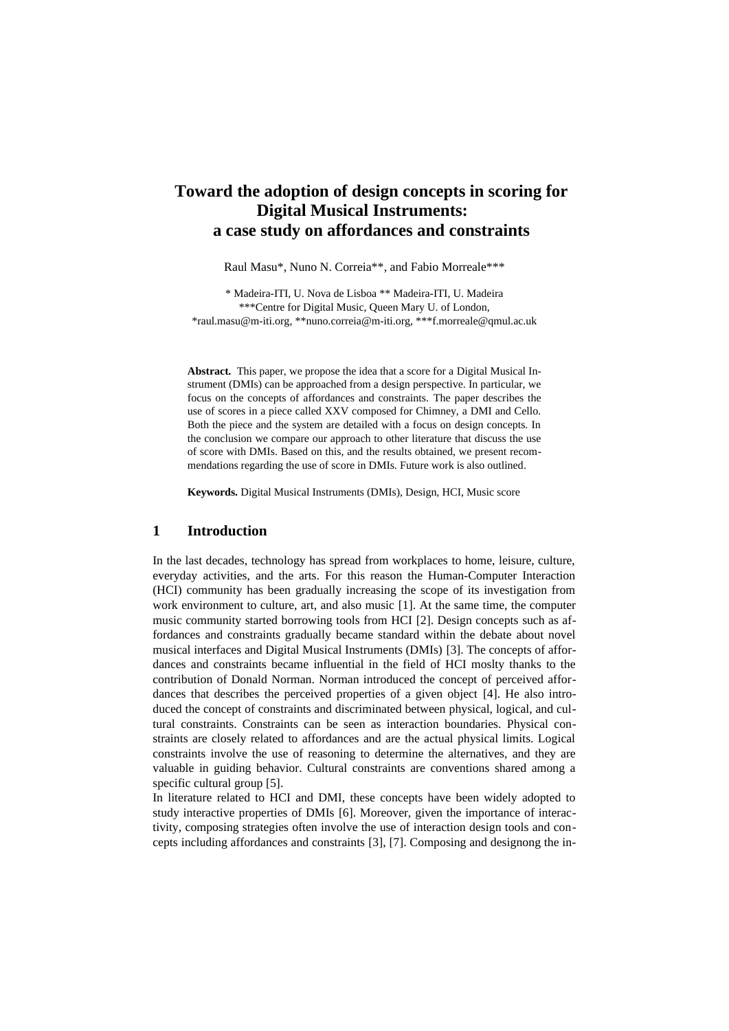# **Toward the adoption of design concepts in scoring for Digital Musical Instruments: a case study on affordances and constraints**

Raul Masu\*, Nuno N. Correia\*\*, and Fabio Morreale\*\*\*

\* Madeira-ITI, U. Nova de Lisboa \*\* Madeira-ITI, U. Madeira \*\*\*Centre for Digital Music, Queen Mary U. of London, \*raul.mas[u@m-iti.org,](mailto:nuno.correia@m-iti.org) \*\*nuno.correia@m-iti.org, \*\*\*f.morreale@qmul.ac.uk

**Abstract.** This paper, we propose the idea that a score for a Digital Musical Instrument (DMIs) can be approached from a design perspective. In particular, we focus on the concepts of affordances and constraints. The paper describes the use of scores in a piece called XXV composed for Chimney, a DMI and Cello. Both the piece and the system are detailed with a focus on design concepts. In the conclusion we compare our approach to other literature that discuss the use of score with DMIs. Based on this, and the results obtained, we present recommendations regarding the use of score in DMIs. Future work is also outlined.

**Keywords.** Digital Musical Instruments (DMIs), Design, HCI, Music score

### **1 Introduction**

In the last decades, technology has spread from workplaces to home, leisure, culture, everyday activities, and the arts. For this reason the Human-Computer Interaction (HCI) community has been gradually increasing the scope of its investigation from work environment to culture, art, and also music [1]. At the same time, the computer music community started borrowing tools from HCI [2]. Design concepts such as affordances and constraints gradually became standard within the debate about novel musical interfaces and Digital Musical Instruments (DMIs) [3]. The concepts of affordances and constraints became influential in the field of HCI moslty thanks to the contribution of Donald Norman. Norman introduced the concept of perceived affordances that describes the perceived properties of a given object [4]. He also introduced the concept of constraints and discriminated between physical, logical, and cultural constraints. Constraints can be seen as interaction boundaries. Physical constraints are closely related to affordances and are the actual physical limits. Logical constraints involve the use of reasoning to determine the alternatives, and they are valuable in guiding behavior. Cultural constraints are conventions shared among a specific cultural group [5].

In literature related to HCI and DMI, these concepts have been widely adopted to study interactive properties of DMIs [6]. Moreover, given the importance of interactivity, composing strategies often involve the use of interaction design tools and concepts including affordances and constraints [3], [7]. Composing and designong the in-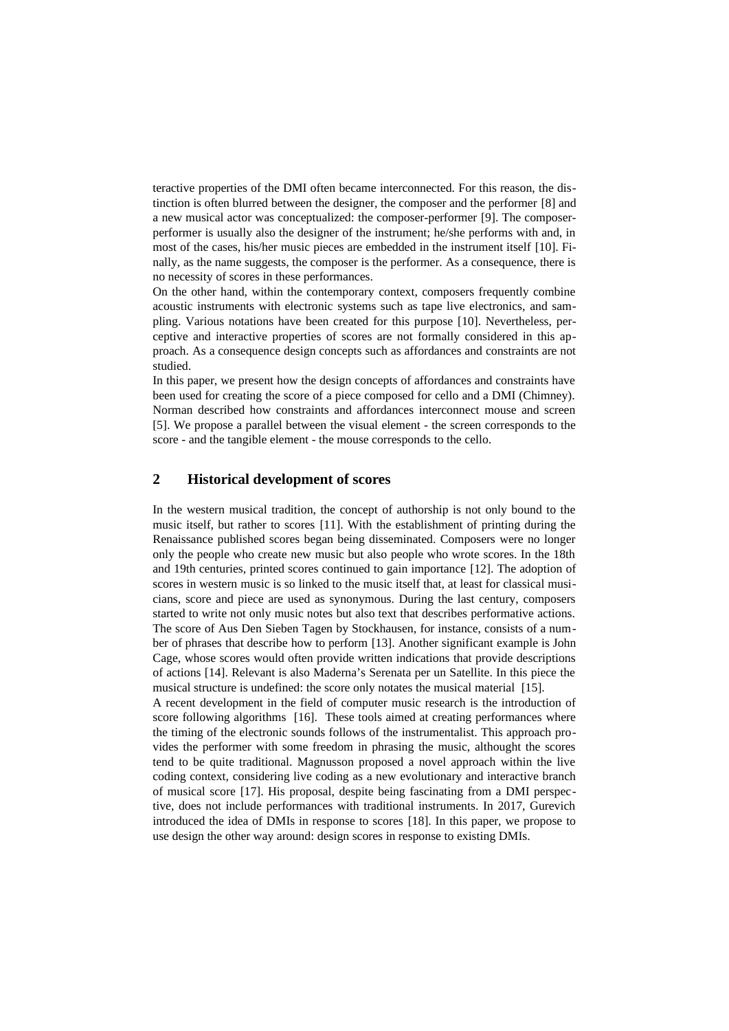teractive properties of the DMI often became interconnected. For this reason, the distinction is often blurred between the designer, the composer and the performer [8] and a new musical actor was conceptualized: the composer-performer [9]. The composerperformer is usually also the designer of the instrument; he/she performs with and, in most of the cases, his/her music pieces are embedded in the instrument itself [10]. Finally, as the name suggests, the composer is the performer. As a consequence, there is no necessity of scores in these performances.

On the other hand, within the contemporary context, composers frequently combine acoustic instruments with electronic systems such as tape live electronics, and sampling. Various notations have been created for this purpose [10]. Nevertheless, perceptive and interactive properties of scores are not formally considered in this approach. As a consequence design concepts such as affordances and constraints are not studied.

In this paper, we present how the design concepts of affordances and constraints have been used for creating the score of a piece composed for cello and a DMI (Chimney). Norman described how constraints and affordances interconnect mouse and screen [5]. We propose a parallel between the visual element - the screen corresponds to the score - and the tangible element - the mouse corresponds to the cello.

## **2 Historical development of scores**

In the western musical tradition, the concept of authorship is not only bound to the music itself, but rather to scores [11]. With the establishment of printing during the Renaissance published scores began being disseminated. Composers were no longer only the people who create new music but also people who wrote scores. In the 18th and 19th centuries, printed scores continued to gain importance [12]. The adoption of scores in western music is so linked to the music itself that, at least for classical musicians, score and piece are used as synonymous. During the last century, composers started to write not only music notes but also text that describes performative actions. The score of Aus Den Sieben Tagen by Stockhausen, for instance, consists of a number of phrases that describe how to perform [13]. Another significant example is John Cage, whose scores would often provide written indications that provide descriptions of actions [14]. Relevant is also Maderna's Serenata per un Satellite. In this piece the musical structure is undefined: the score only notates the musical material [15].

A recent development in the field of computer music research is the introduction of score following algorithms [16]. These tools aimed at creating performances where the timing of the electronic sounds follows of the instrumentalist. This approach provides the performer with some freedom in phrasing the music, althought the scores tend to be quite traditional. Magnusson proposed a novel approach within the live coding context, considering live coding as a new evolutionary and interactive branch of musical score [17]. His proposal, despite being fascinating from a DMI perspective, does not include performances with traditional instruments. In 2017, Gurevich introduced the idea of DMIs in response to scores [18]. In this paper, we propose to use design the other way around: design scores in response to existing DMIs.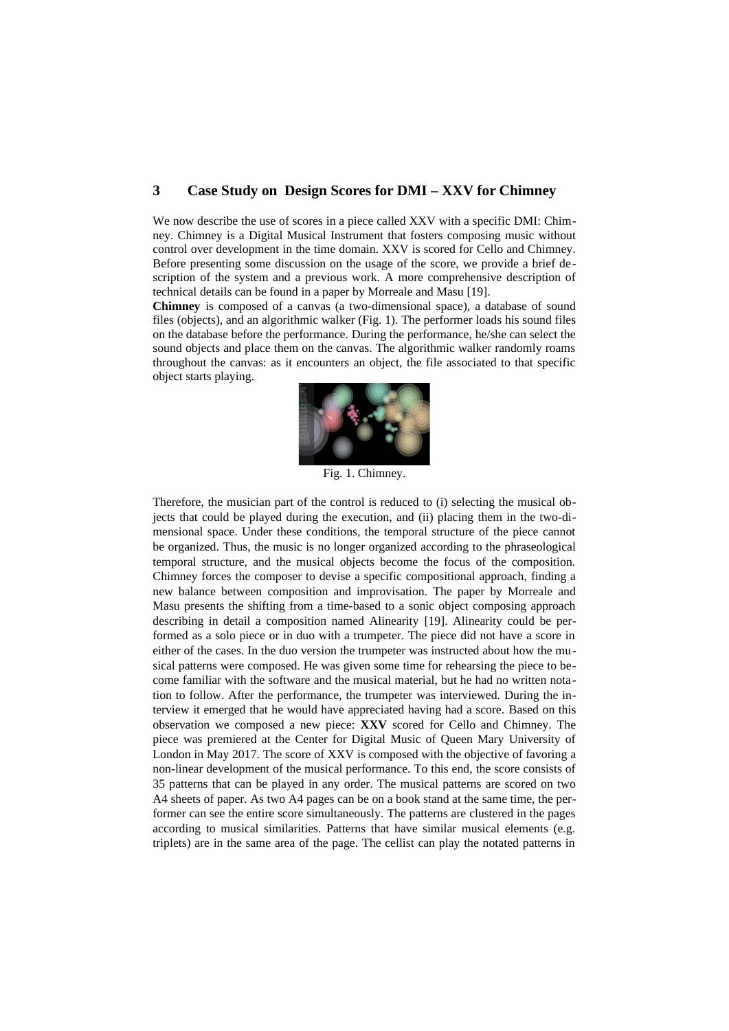## **3 Case Study on Design Scores for DMI – XXV for Chimney**

We now describe the use of scores in a piece called XXV with a specific DMI: Chimney. Chimney is a Digital Musical Instrument that fosters composing music without control over development in the time domain. XXV is scored for Cello and Chimney. Before presenting some discussion on the usage of the score, we provide a brief description of the system and a previous work. A more comprehensive description of technical details can be found in a paper by Morreale and Masu [19].

**Chimney** is composed of a canvas (a two-dimensional space), a database of sound files (objects), and an algorithmic walker (Fig. 1). The performer loads his sound files on the database before the performance. During the performance, he/she can select the sound objects and place them on the canvas. The algorithmic walker randomly roams throughout the canvas: as it encounters an object, the file associated to that specific object starts playing.



Fig. 1. Chimney.

Therefore, the musician part of the control is reduced to (i) selecting the musical objects that could be played during the execution, and (ii) placing them in the two-dimensional space. Under these conditions, the temporal structure of the piece cannot be organized. Thus, the music is no longer organized according to the phraseological temporal structure, and the musical objects become the focus of the composition. Chimney forces the composer to devise a specific compositional approach, finding a new balance between composition and improvisation. The paper by Morreale and Masu presents the shifting from a time-based to a sonic object composing approach describing in detail a composition named Alinearity [19]. Alinearity could be performed as a solo piece or in duo with a trumpeter. The piece did not have a score in either of the cases. In the duo version the trumpeter was instructed about how the musical patterns were composed. He was given some time for rehearsing the piece to become familiar with the software and the musical material, but he had no written notation to follow. After the performance, the trumpeter was interviewed. During the interview it emerged that he would have appreciated having had a score. Based on this observation we composed a new piece: **XXV** scored for Cello and Chimney. The piece was premiered at the Center for Digital Music of Queen Mary University of London in May 2017. The score of XXV is composed with the objective of favoring a non-linear development of the musical performance. To this end, the score consists of 35 patterns that can be played in any order. The musical patterns are scored on two A4 sheets of paper. As two A4 pages can be on a book stand at the same time, the performer can see the entire score simultaneously. The patterns are clustered in the pages according to musical similarities. Patterns that have similar musical elements (e.g. triplets) are in the same area of the page. The cellist can play the notated patterns in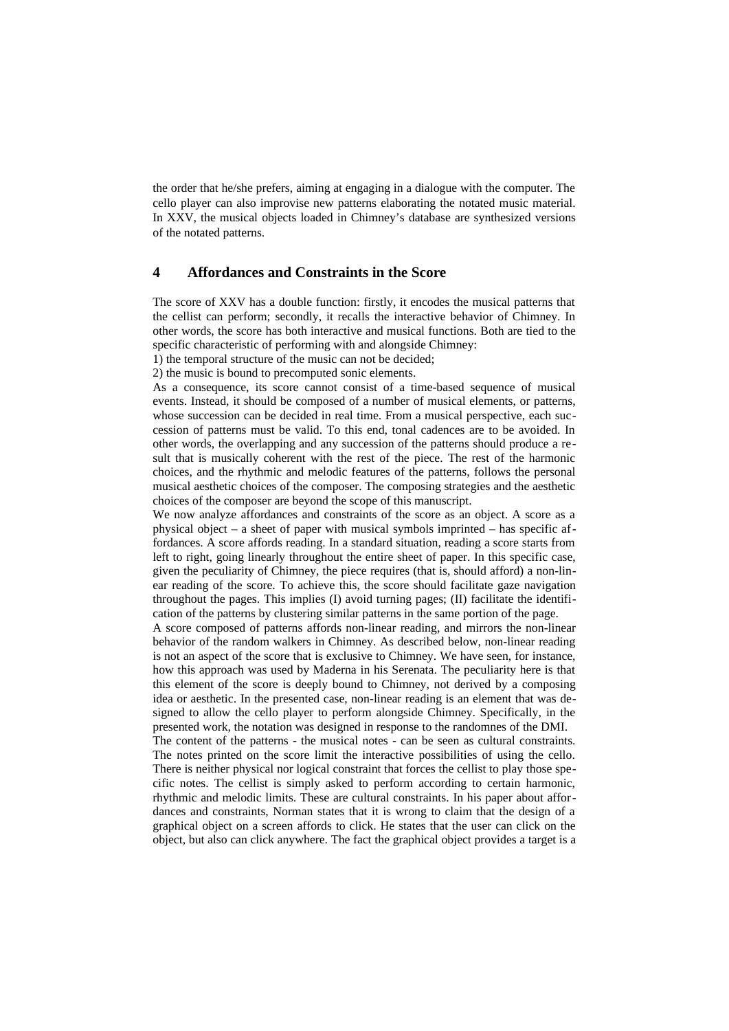the order that he/she prefers, aiming at engaging in a dialogue with the computer. The cello player can also improvise new patterns elaborating the notated music material. In XXV, the musical objects loaded in Chimney's database are synthesized versions of the notated patterns.

#### **4 Affordances and Constraints in the Score**

The score of XXV has a double function: firstly, it encodes the musical patterns that the cellist can perform; secondly, it recalls the interactive behavior of Chimney. In other words, the score has both interactive and musical functions. Both are tied to the specific characteristic of performing with and alongside Chimney: 1) the temporal structure of the music can not be decided;

2) the music is bound to precomputed sonic elements.

As a consequence, its score cannot consist of a time-based sequence of musical events. Instead, it should be composed of a number of musical elements, or patterns, whose succession can be decided in real time. From a musical perspective, each succession of patterns must be valid. To this end, tonal cadences are to be avoided. In other words, the overlapping and any succession of the patterns should produce a result that is musically coherent with the rest of the piece. The rest of the harmonic choices, and the rhythmic and melodic features of the patterns, follows the personal musical aesthetic choices of the composer. The composing strategies and the aesthetic choices of the composer are beyond the scope of this manuscript.

We now analyze affordances and constraints of the score as an object. A score as a physical object – a sheet of paper with musical symbols imprinted – has specific affordances. A score affords reading. In a standard situation, reading a score starts from left to right, going linearly throughout the entire sheet of paper. In this specific case, given the peculiarity of Chimney, the piece requires (that is, should afford) a non-linear reading of the score. To achieve this, the score should facilitate gaze navigation throughout the pages. This implies (I) avoid turning pages; (II) facilitate the identification of the patterns by clustering similar patterns in the same portion of the page.

A score composed of patterns affords non-linear reading, and mirrors the non-linear behavior of the random walkers in Chimney. As described below, non-linear reading is not an aspect of the score that is exclusive to Chimney. We have seen, for instance, how this approach was used by Maderna in his Serenata. The peculiarity here is that this element of the score is deeply bound to Chimney, not derived by a composing idea or aesthetic. In the presented case, non-linear reading is an element that was designed to allow the cello player to perform alongside Chimney. Specifically, in the presented work, the notation was designed in response to the randomnes of the DMI.

The content of the patterns - the musical notes - can be seen as cultural constraints. The notes printed on the score limit the interactive possibilities of using the cello. There is neither physical nor logical constraint that forces the cellist to play those specific notes. The cellist is simply asked to perform according to certain harmonic, rhythmic and melodic limits. These are cultural constraints. In his paper about affordances and constraints, Norman states that it is wrong to claim that the design of a graphical object on a screen affords to click. He states that the user can click on the object, but also can click anywhere. The fact the graphical object provides a target is a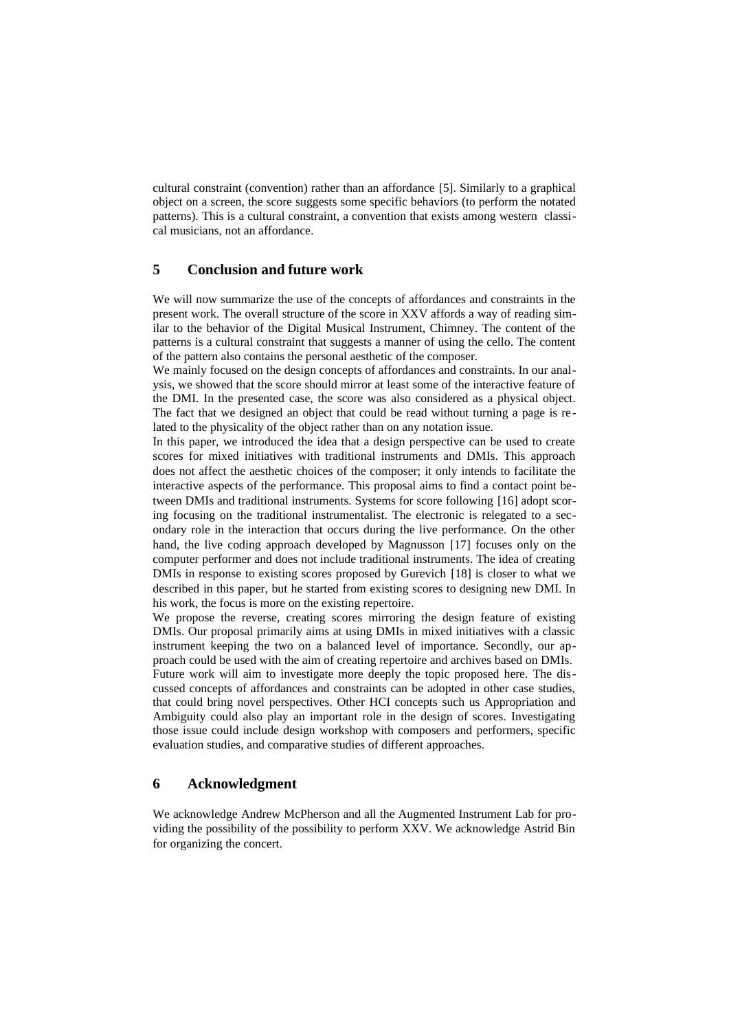cultural constraint (convention) rather than an affordance [5]. Similarly to a graphical object on a screen, the score suggests some specific behaviors (to perform the notated patterns). This is a cultural constraint, a convention that exists among western classical musicians, not an affordance.

### **5 Conclusion and future work**

We will now summarize the use of the concepts of affordances and constraints in the present work. The overall structure of the score in XXV affords a way of reading similar to the behavior of the Digital Musical Instrument, Chimney. The content of the patterns is a cultural constraint that suggests a manner of using the cello. The content of the pattern also contains the personal aesthetic of the composer.

We mainly focused on the design concepts of affordances and constraints. In our analysis, we showed that the score should mirror at least some of the interactive feature of the DMI. In the presented case, the score was also considered as a physical object. The fact that we designed an object that could be read without turning a page is related to the physicality of the object rather than on any notation issue.

In this paper, we introduced the idea that a design perspective can be used to create scores for mixed initiatives with traditional instruments and DMIs. This approach does not affect the aesthetic choices of the composer; it only intends to facilitate the interactive aspects of the performance. This proposal aims to find a contact point between DMIs and traditional instruments. Systems for score following [16] adopt scoring focusing on the traditional instrumentalist. The electronic is relegated to a secondary role in the interaction that occurs during the live performance. On the other hand, the live coding approach developed by Magnusson [17] focuses only on the computer performer and does not include traditional instruments. The idea of creating DMIs in response to existing scores proposed by Gurevich [18] is closer to what we described in this paper, but he started from existing scores to designing new DMI. In his work, the focus is more on the existing repertoire.

We propose the reverse, creating scores mirroring the design feature of existing DMIs. Our proposal primarily aims at using DMIs in mixed initiatives with a classic instrument keeping the two on a balanced level of importance. Secondly, our approach could be used with the aim of creating repertoire and archives based on DMIs. Future work will aim to investigate more deeply the topic proposed here. The discussed concepts of affordances and constraints can be adopted in other case studies, that could bring novel perspectives. Other HCI concepts such us Appropriation and Ambiguity could also play an important role in the design of scores. Investigating those issue could include design workshop with composers and performers, specific evaluation studies, and comparative studies of different approaches.

## **6 Acknowledgment**

We acknowledge Andrew McPherson and all the Augmented Instrument Lab for providing the possibility of the possibility to perform XXV. We acknowledge Astrid Bin for organizing the concert.